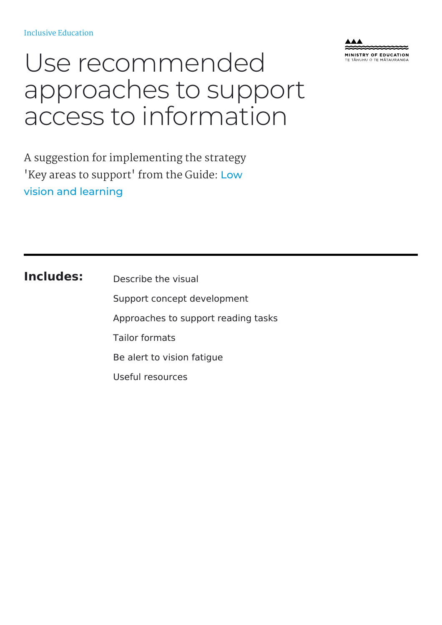

# Use recommended approaches to support access to information

A suggestion for implementing the strategy 'Key areas to support' from the Guide: Low vision and [learning](https://inclusive.tki.org.nz/guides/low-vision-and-learning/)

#### **Includes:**

Describe the visual Support concept development Approaches to support reading tasks Tailor formats Be alert to vision fatigue Useful resources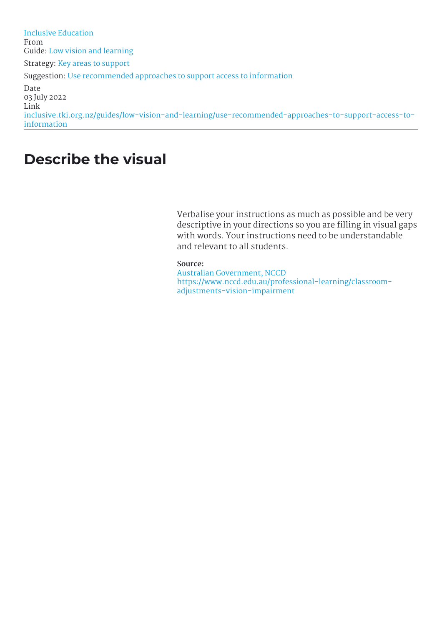# **Describe the visual**

Verbalise your instructions as much as possible and be very descriptive in your directions so you are filling in visual gaps with words. Your instructions need to be understandable and relevant to all students.

#### **Source:**

Australian [Government,](https://www.nccd.edu.au/professional-learning/classroom-adjustments-vision-impairment) NCCD [https://www.nccd.edu.au/professional-learning/classroom](https://www.nccd.edu.au/professional-learning/classroom-adjustments-vision-impairment)adjustments-vision-impairment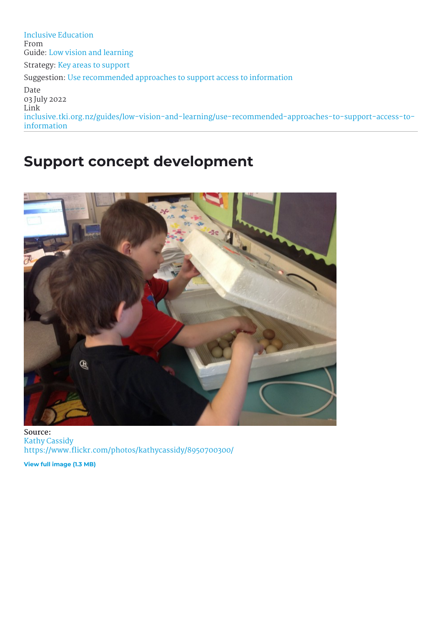### **Support concept development**



**Source:** Kathy [Cassidy](https://www.flickr.com/photos/kathycassidy/8950700300/) <https://www.flickr.com/photos/kathycassidy/8950700300/>

**View full [image](https://inclusive-live-storagestack-assetstorages3bucket-3uty0hejzw6u.s3.ap-southeast-2.amazonaws.com/public/inclusive-education/example-images/8950700300-d91e118814-o.jpg) (1.3 MB)**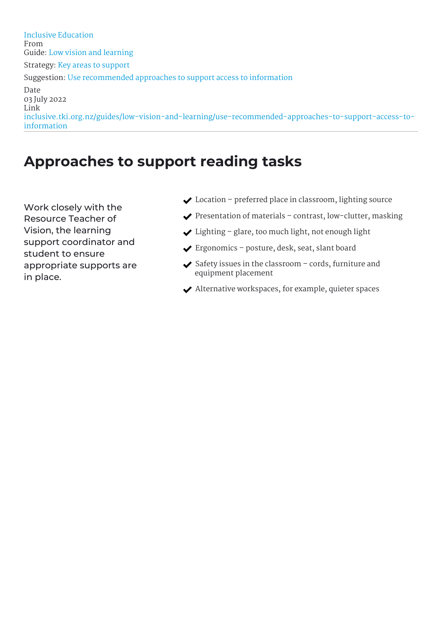# **Approaches to support reading tasks**

Work closely with the Resource Teacher of Vision, the learning support coordinator and student to ensure appropriate supports are in place.

- ◆ Location preferred place in classroom, lighting source
- $\blacktriangleright$  Presentation of materials contrast, low-clutter, masking
- $\bigvee$  Lighting glare, too much light, not enough light
- Ergonomics posture, desk, seat, slant board
- $\blacktriangleright$  Safety issues in the classroom cords, furniture and equipment placement
- $\blacktriangleright$  Alternative workspaces, for example, quieter spaces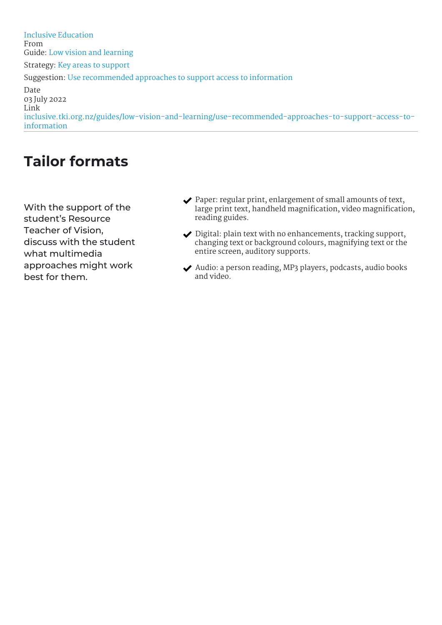# **Tailor formats**

With the support of the student's Resource Teacher of Vision, discuss with the student what multimedia approaches might work best for them.

- $\blacktriangleright$  Paper: regular print, enlargement of small amounts of text, large print text, handheld magnification, video magnification, reading guides.
- ◆ Digital: plain text with no enhancements, tracking support, changing text or background colours, magnifying text or the entire screen, auditory supports.
- Audio: a person reading, MP3 players, podcasts, audio books and video.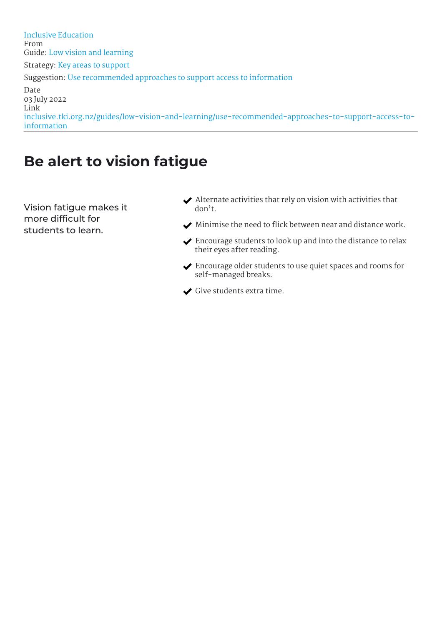# **Be alert to vision fatigue**

Vision fatigue makes it more difficult for students to learn.

- $\blacktriangleright$  Alternate activities that rely on vision with activities that don't.
- $\blacktriangleright$  Minimise the need to flick between near and distance work.
- Encourage students to look up and into the distance to relax their eyes after reading.
- Encourage older students to use quiet spaces and rooms for self-managed breaks.
- Give students extra time.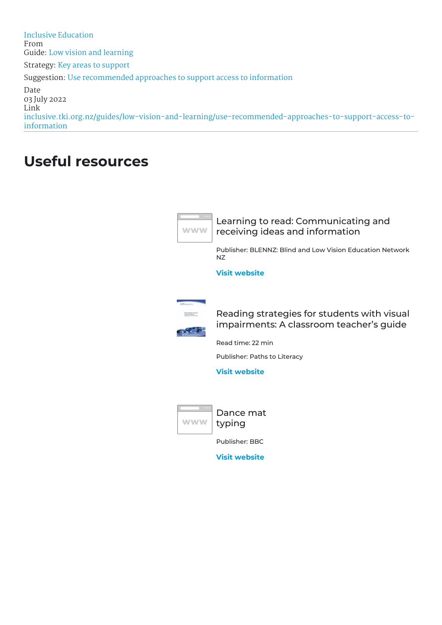# **Useful resources**



Learning to read: Communicating and receiving ideas and information

Publisher: BLENNZ: Blind and Low Vision Education Network NZ

**Visit [website](http://blennzonlinelearninglibrary.edublogs.org/2012/05/10/learning-to-read-communicating-and-receiving-ideas-and-information/)**



Reading strategies for students with visual impairments: A classroom teacher's guide

Read time: 22 min

Publisher: Paths to Literacy

**Visit [website](https://www.pathstoliteracy.org/resources/reading-strategies-students-visual-impairments-classroom-teachers-guide)**



Dance mat typing

Publisher: BBC

**Visit [website](https://www.bbc.com/bitesize/articles/z3c6tfr)**